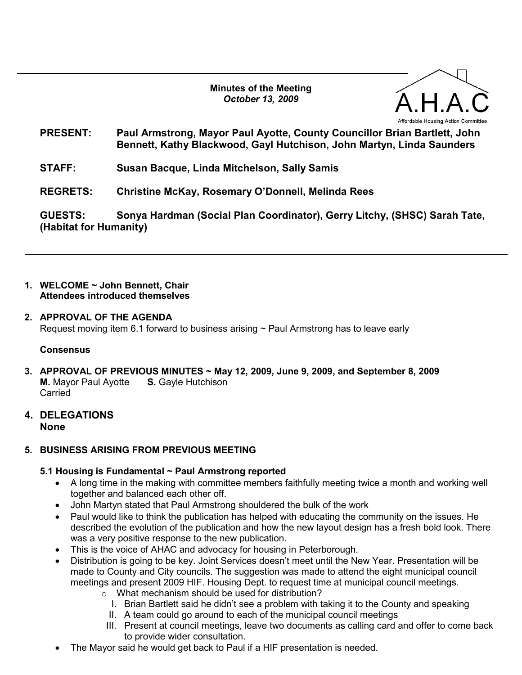Minutes of the Meeting October 13, 2009



- PRESENT: Paul Armstrong, Mayor Paul Ayotte, County Councillor Brian Bartlett, John Bennett, Kathy Blackwood, Gayl Hutchison, John Martyn, Linda Saunders
- STAFF: Susan Bacque, Linda Mitchelson, Sally Samis
- REGRETS: Christine McKay, Rosemary O'Donnell, Melinda Rees

GUESTS: Sonya Hardman (Social Plan Coordinator), Gerry Litchy, (SHSC) Sarah Tate, (Habitat for Humanity)

- 1. WELCOME ~ John Bennett, Chair Attendees introduced themselves
- 2. APPROVAL OF THE AGENDA Request moving item 6.1 forward to business arising  $\sim$  Paul Armstrong has to leave early

# **Consensus**

- 3. APPROVAL OF PREVIOUS MINUTES ~ May 12, 2009, June 9, 2009, and September 8, 2009<br>M. Mayor Paul Ayotte S. Gayle Hutchison **M.** Mayor Paul Ayotte **Carried**
- 4. DELEGATIONS None

# 5. BUSINESS ARISING FROM PREVIOUS MEETING

# 5.1 Housing is Fundamental  $\sim$  Paul Armstrong reported

- A long time in the making with committee members faithfully meeting twice a month and working well together and balanced each other off.
- John Martyn stated that Paul Armstrong shouldered the bulk of the work
- Paul would like to think the publication has helped with educating the community on the issues. He described the evolution of the publication and how the new layout design has a fresh bold look. There was a very positive response to the new publication.
- This is the voice of AHAC and advocacy for housing in Peterborough.
- Distribution is going to be key. Joint Services doesn't meet until the New Year. Presentation will be made to County and City councils. The suggestion was made to attend the eight municipal council meetings and present 2009 HIF. Housing Dept. to request time at municipal council meetings.
	- o What mechanism should be used for distribution?
		- I. Brian Bartlett said he didn't see a problem with taking it to the County and speaking
		- II. A team could go around to each of the municipal council meetings
	- III. Present at council meetings, leave two documents as calling card and offer to come back to provide wider consultation.
- The Mayor said he would get back to Paul if a HIF presentation is needed.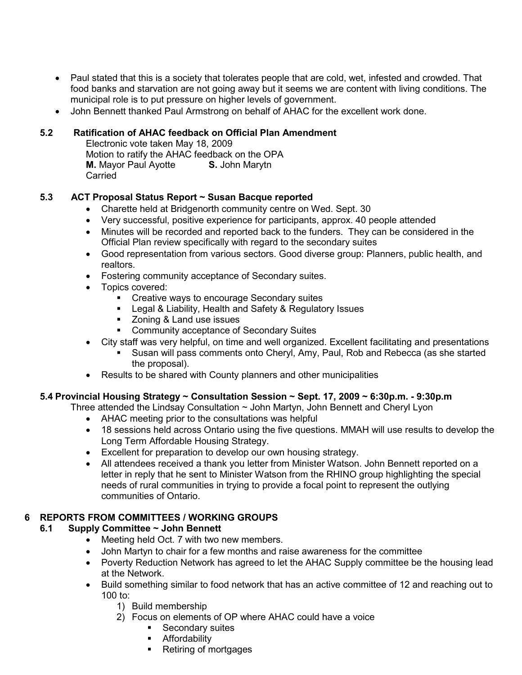- Paul stated that this is a society that tolerates people that are cold, wet, infested and crowded. That food banks and starvation are not going away but it seems we are content with living conditions. The municipal role is to put pressure on higher levels of government.
- John Bennett thanked Paul Armstrong on behalf of AHAC for the excellent work done.

## 5.2 Ratification of AHAC feedback on Official Plan Amendment

 Electronic vote taken May 18, 2009 Motion to ratify the AHAC feedback on the OPA M. Mayor Paul Ayotte **S. John Marytn** Carried

### 5.3 ACT Proposal Status Report ~ Susan Bacque reported

- Charette held at Bridgenorth community centre on Wed. Sept. 30
- Very successful, positive experience for participants, approx. 40 people attended
- Minutes will be recorded and reported back to the funders. They can be considered in the Official Plan review specifically with regard to the secondary suites
- Good representation from various sectors. Good diverse group: Planners, public health, and realtors.
- Fostering community acceptance of Secondary suites.
- Topics covered:
	- Creative ways to encourage Secondary suites
	- **EXEC** Legal & Liability, Health and Safety & Regulatory Issues
	- **EXECONING & Land use issues**
	- **EXECOMMUNITY ACCEPTANCE OF SECONDARY Suites**
- City staff was very helpful, on time and well organized. Excellent facilitating and presentations
	- Susan will pass comments onto Cheryl, Amy, Paul, Rob and Rebecca (as she started the proposal).
- Results to be shared with County planners and other municipalities

### 5.4 Provincial Housing Strategy ~ Consultation Session ~ Sept. 17, 2009 ~ 6:30p.m. - 9:30p.m

Three attended the Lindsay Consultation  $\sim$  John Martyn, John Bennett and Cheryl Lyon

- AHAC meeting prior to the consultations was helpful
- 18 sessions held across Ontario using the five questions. MMAH will use results to develop the Long Term Affordable Housing Strategy.
- Excellent for preparation to develop our own housing strategy.
- All attendees received a thank you letter from Minister Watson. John Bennett reported on a letter in reply that he sent to Minister Watson from the RHINO group highlighting the special needs of rural communities in trying to provide a focal point to represent the outlying communities of Ontario.

# 6 REPORTS FROM COMMITTEES / WORKING GROUPS

# 6.1 Supply Committee ~ John Bennett

- Meeting held Oct. 7 with two new members.
- John Martyn to chair for a few months and raise awareness for the committee
- Poverty Reduction Network has agreed to let the AHAC Supply committee be the housing lead at the Network.
- Build something similar to food network that has an active committee of 12 and reaching out to 100 to:
	- 1) Build membership
	- 2) Focus on elements of OP where AHAC could have a voice
		- **Secondary suites**
		- **-** Affordability
		- Retiring of mortgages